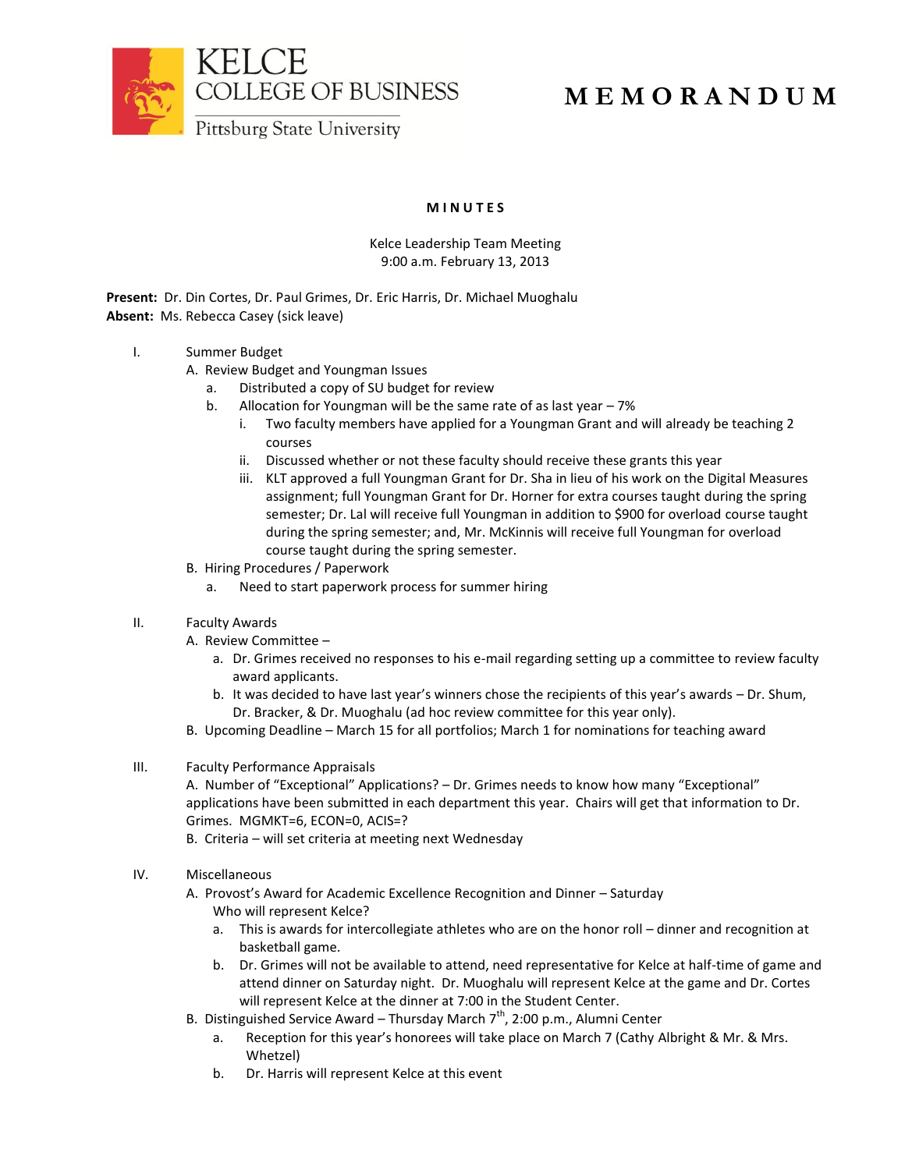



## **M E M O R A N D U M**

**M I N U T E S**

## Kelce Leadership Team Meeting 9:00 a.m. February 13, 2013

**Present:** Dr. Din Cortes, Dr. Paul Grimes, Dr. Eric Harris, Dr. Michael Muoghalu **Absent:** Ms. Rebecca Casey (sick leave)

## I. Summer Budget

- A. Review Budget and Youngman Issues
	- a. Distributed a copy of SU budget for review
	- b. Allocation for Youngman will be the same rate of as last year 7%
		- i. Two faculty members have applied for a Youngman Grant and will already be teaching 2 courses
		- ii. Discussed whether or not these faculty should receive these grants this year
		- iii. KLT approved a full Youngman Grant for Dr. Sha in lieu of his work on the Digital Measures assignment; full Youngman Grant for Dr. Horner for extra courses taught during the spring semester; Dr. Lal will receive full Youngman in addition to \$900 for overload course taught during the spring semester; and, Mr. McKinnis will receive full Youngman for overload course taught during the spring semester.
- B. Hiring Procedures / Paperwork
	- a. Need to start paperwork process for summer hiring

## II. Faculty Awards

- A. Review Committee
	- a. Dr. Grimes received no responses to his e-mail regarding setting up a committee to review faculty award applicants.
	- b. It was decided to have last year's winners chose the recipients of this year's awards Dr. Shum, Dr. Bracker, & Dr. Muoghalu (ad hoc review committee for this year only).
- B. Upcoming Deadline March 15 for all portfolios; March 1 for nominations for teaching award
- III. Faculty Performance Appraisals

A. Number of "Exceptional" Applications? – Dr. Grimes needs to know how many "Exceptional" applications have been submitted in each department this year. Chairs will get that information to Dr. Grimes. MGMKT=6, ECON=0, ACIS=?

B. Criteria – will set criteria at meeting next Wednesday

- IV. Miscellaneous
	- A. Provost's Award for Academic Excellence Recognition and Dinner Saturday Who will represent Kelce?
		- a. This is awards for intercollegiate athletes who are on the honor roll dinner and recognition at basketball game.
		- b. Dr. Grimes will not be available to attend, need representative for Kelce at half-time of game and attend dinner on Saturday night. Dr. Muoghalu will represent Kelce at the game and Dr. Cortes will represent Kelce at the dinner at 7:00 in the Student Center.
	- B. Distinguished Service Award Thursday March  $7<sup>th</sup>$ , 2:00 p.m., Alumni Center
		- a. Reception for this year's honorees will take place on March 7 (Cathy Albright & Mr. & Mrs. Whetzel)
		- b. Dr. Harris will represent Kelce at this event